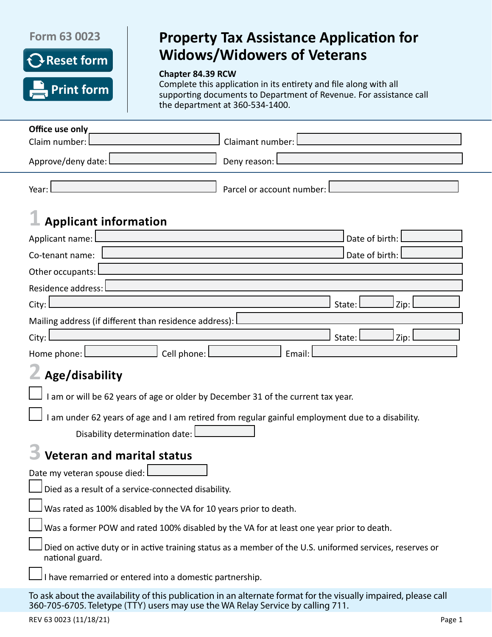### **Form 63 0023**



# **Property Tax Assistance Application for Widows/Widowers of Veterans**

#### **Chapter 84.39 RCW**

Complete this application in its entirety and file along with all supporting documents to Department of Revenue. For assistance call the department at 360-534-1400.

| Office use only                                                                                                                                                                                    |                           |        |        |  |      |  |
|----------------------------------------------------------------------------------------------------------------------------------------------------------------------------------------------------|---------------------------|--------|--------|--|------|--|
| Claim number:                                                                                                                                                                                      | Claimant number:          |        |        |  |      |  |
| Approve/deny date: L                                                                                                                                                                               | Deny reason: I            |        |        |  |      |  |
| Year:                                                                                                                                                                                              | Parcel or account number: |        |        |  |      |  |
| <b>Applicant information</b>                                                                                                                                                                       |                           |        |        |  |      |  |
| Date of birth:<br>Applicant name:                                                                                                                                                                  |                           |        |        |  |      |  |
| Date of birth:<br>Co-tenant name:                                                                                                                                                                  |                           |        |        |  |      |  |
| Other occupants:                                                                                                                                                                                   |                           |        |        |  |      |  |
| Residence address:                                                                                                                                                                                 |                           |        |        |  |      |  |
| City:                                                                                                                                                                                              |                           |        | State: |  | Zip: |  |
| Mailing address (if different than residence address):                                                                                                                                             |                           |        |        |  |      |  |
| City:                                                                                                                                                                                              |                           |        | State: |  | Zip: |  |
| Cell phone: l<br>Home phone: $\Box$                                                                                                                                                                |                           | Email: |        |  |      |  |
| Age/disability                                                                                                                                                                                     |                           |        |        |  |      |  |
| I am or will be 62 years of age or older by December 31 of the current tax year.                                                                                                                   |                           |        |        |  |      |  |
| I am under 62 years of age and I am retired from regular gainful employment due to a disability.                                                                                                   |                           |        |        |  |      |  |
| Disability determination date:                                                                                                                                                                     |                           |        |        |  |      |  |
| <b>Veteran and marital status</b>                                                                                                                                                                  |                           |        |        |  |      |  |
| Date my veteran spouse died:                                                                                                                                                                       |                           |        |        |  |      |  |
| $\Box$ Died as a result of a service-connected disability.                                                                                                                                         |                           |        |        |  |      |  |
| Was rated as 100% disabled by the VA for 10 years prior to death.                                                                                                                                  |                           |        |        |  |      |  |
| Was a former POW and rated 100% disabled by the VA for at least one year prior to death.                                                                                                           |                           |        |        |  |      |  |
| Died on active duty or in active training status as a member of the U.S. uniformed services, reserves or<br>national guard.                                                                        |                           |        |        |  |      |  |
| I have remarried or entered into a domestic partnership.                                                                                                                                           |                           |        |        |  |      |  |
| To ask about the availability of this publication in an alternate format for the visually impaired, please call<br>360-705-6705. Teletype (TTY) users may use the WA Relay Service by calling 711. |                           |        |        |  |      |  |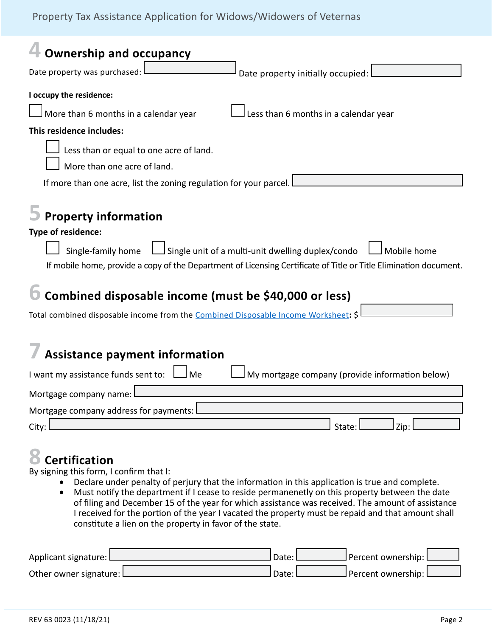## Property Tax Assistance Application for Widows/Widowers of Veternas

| <b>Ownership and occupancy</b>                                                                                                                                                                                                                                                                                                                                                                                  |  |  |  |
|-----------------------------------------------------------------------------------------------------------------------------------------------------------------------------------------------------------------------------------------------------------------------------------------------------------------------------------------------------------------------------------------------------------------|--|--|--|
| Date property was purchased:<br>Date property initially occupied:                                                                                                                                                                                                                                                                                                                                               |  |  |  |
| I occupy the residence:                                                                                                                                                                                                                                                                                                                                                                                         |  |  |  |
| Less than 6 months in a calendar year<br>More than 6 months in a calendar year                                                                                                                                                                                                                                                                                                                                  |  |  |  |
| This residence includes:                                                                                                                                                                                                                                                                                                                                                                                        |  |  |  |
| Less than or equal to one acre of land.                                                                                                                                                                                                                                                                                                                                                                         |  |  |  |
| More than one acre of land.                                                                                                                                                                                                                                                                                                                                                                                     |  |  |  |
| If more than one acre, list the zoning regulation for your parcel.                                                                                                                                                                                                                                                                                                                                              |  |  |  |
| <b>Property information</b><br>Type of residence:<br>Single unit of a multi-unit dwelling duplex/condo<br>Single-family home<br>Mobile home<br>If mobile home, provide a copy of the Department of Licensing Certificate of Title or Title Elimination document.<br>Combined disposable income (must be \$40,000 or less)<br>Total combined disposable income from the Combined Disposable Income Worksheet: \$ |  |  |  |
| <b>Assistance payment information</b>                                                                                                                                                                                                                                                                                                                                                                           |  |  |  |
|                                                                                                                                                                                                                                                                                                                                                                                                                 |  |  |  |
| My mortgage company (provide information below)<br>I want my assistance funds sent to: $\Box$<br>J Me                                                                                                                                                                                                                                                                                                           |  |  |  |
| Mortgage company name                                                                                                                                                                                                                                                                                                                                                                                           |  |  |  |
| Mortgage company address for payments:                                                                                                                                                                                                                                                                                                                                                                          |  |  |  |
| State:<br>Zip:<br>City:                                                                                                                                                                                                                                                                                                                                                                                         |  |  |  |

# **8 Certification**

By signing this form, I confirm that I:

- Declare under penalty of perjury that the information in this application is true and complete.
- Must notify the department if I cease to reside permanenetly on this property between the date of filing and December 15 of the year for which assistance was received. The amount of assistance I received for the portion of the year I vacated the property must be repaid and that amount shall constitute a lien on the property in favor of the state.

| Applicant signature: L   | Date: | J Percent ownership: L |  |
|--------------------------|-------|------------------------|--|
| Other owner signature: L | Date: | J Percent ownership: L |  |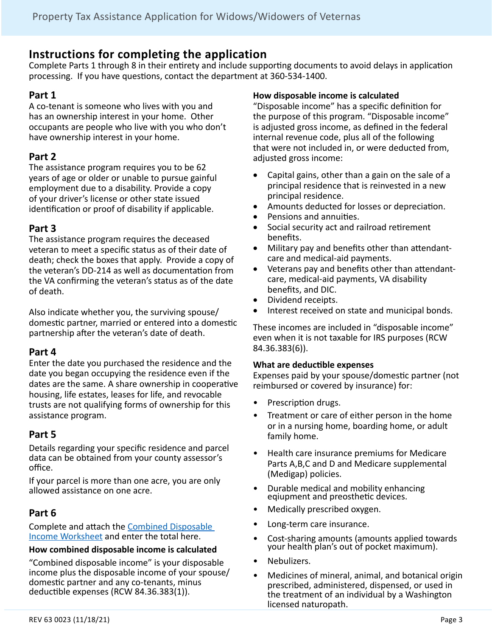# **Instructions for completing the application**

Complete Parts 1 through 8 in their entirety and include supporting documents to avoid delays in application processing. If you have questions, contact the department at 360-534-1400.

#### **Part 1**

A co-tenant is someone who lives with you and has an ownership interest in your home. Other occupants are people who live with you who don't have ownership interest in your home.

### **Part 2**

The assistance program requires you to be 62 years of age or older or unable to pursue gainful employment due to a disability. Provide a copy of your driver's license or other state issued identification or proof of disability if applicable.

### **Part 3**

The assistance program requires the deceased veteran to meet a specific status as of their date of death; check the boxes that apply. Provide a copy of the veteran's DD-214 as well as documentation from the VA confirming the veteran's status as of the date of death.

Also indicate whether you, the surviving spouse/ domestic partner, married or entered into a domestic partnership after the veteran's date of death.

#### **Part 4**

Enter the date you purchased the residence and the date you began occupying the residence even if the dates are the same. A share ownership in cooperative housing, life estates, leases for life, and revocable trusts are not qualifying forms of ownership for this assistance program.

## **Part 5**

Details regarding your specific residence and parcel data can be obtained from your county assessor's office.

If your parcel is more than one acre, you are only allowed assistance on one acre.

## **Part 6**

Complete and attach the Combined Disposable Income Worksheet and enter the total here.

#### **How combined disposable income is calculated**

"Combined disposable income" is your disposable income plus the disposable income of your spouse/ domestic partner and any co-tenants, minus deductible expenses (RCW 84.36.383(1)).

#### **How disposable income is calculated**

"Disposable income" has a specific definition for the purpose of this program. "Disposable income" is adjusted gross income, as defined in the federal internal revenue code, plus all of the following that were not included in, or were deducted from, adjusted gross income:

- Capital gains, other than a gain on the sale of a principal residence that is reinvested in a new principal residence.
- • Amounts deducted for losses or depreciation.
- Pensions and annuities.
- Social security act and railroad retirement benefits.
- Military pay and benefits other than attendantcare and medical-aid payments.
- Veterans pay and benefits other than attendantcare, medical-aid payments, VA disability benefits, and DIC.
- Dividend receipts.
- Interest received on state and municipal bonds.

These incomes are included in "disposable income" even when it is not taxable for IRS purposes (RCW 84.36.383(6)).

#### **What are deductible expenses**

Expenses paid by your spouse/domestic partner (not reimbursed or covered by insurance) for:

- Prescription drugs.
- Treatment or care of either person in the home or in a nursing home, boarding home, or adult family home.
- Health care insurance premiums for Medicare Parts A,B,C and D and Medicare supplemental (Medigap) policies.
- Durable medical and mobility enhancing eqiupment and preosthetic devices.
- Medically prescribed oxygen.
- Long-term care insurance.
- Cost-sharing amounts (amounts applied towards your health plan's out of pocket maximum).
- Nebulizers.
- Medicines of mineral, animal, and botanical origin prescribed, administered, dispensed, or used in the treatment of an individual by a Washington licensed naturopath.